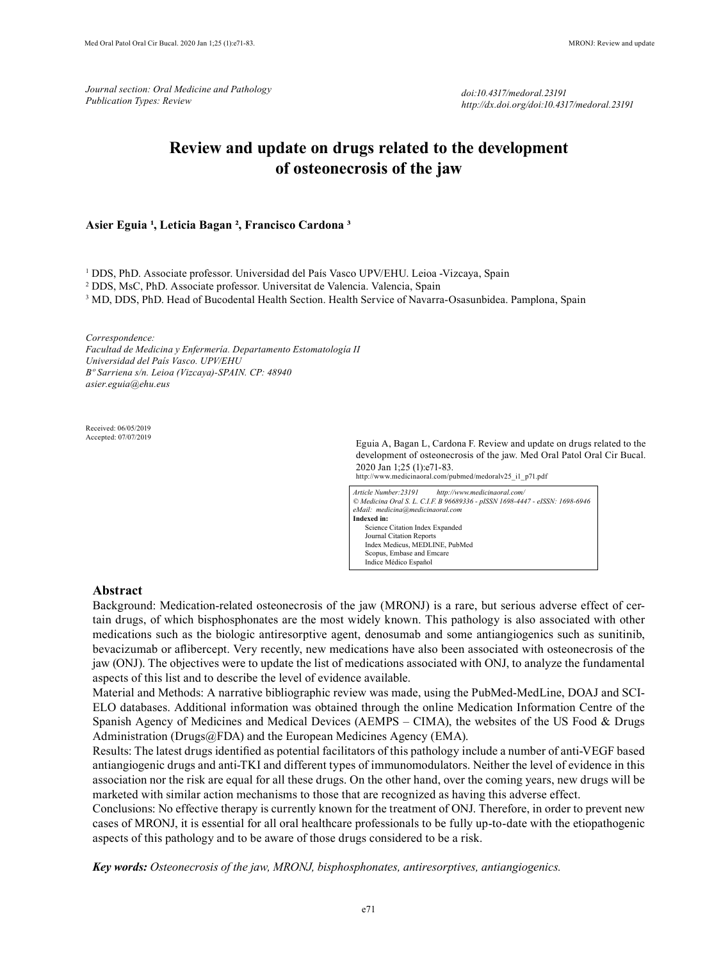*Journal section: Oral Medicine and Pathology Publication Types: Review*

*doi:10.4317/medoral.23191 http://dx.doi.org/doi:10.4317/medoral.23191*

# **Review and update on drugs related to the development of osteonecrosis of the jaw**

# Asier Eguia<sup>1</sup>, Leticia Bagan<sup>2</sup>, Francisco Cardona<sup>3</sup>

1 DDS, PhD. Associate professor. Universidad del País Vasco UPV/EHU. Leioa -Vizcaya, Spain

2 DDS, MsC, PhD. Associate professor. Universitat de Valencia. Valencia, Spain

<sup>3</sup> MD, DDS, PhD. Head of Bucodental Health Section. Health Service of Navarra-Osasunbidea. Pamplona, Spain

*Correspondence:*

*Facultad de Medicina y Enfermería. Departamento Estomatología II Universidad del País Vasco. UPV/EHU Bº Sarriena s/n. Leioa (Vizcaya)-SPAIN. CP: 48940 asier.eguia@ehu.eus*

Received: 06/05/2019 Accepted: 07/07/2019

Eguia A, Bagan L, Cardona F. Review and update on drugs related to the development of osteonecrosis of the jaw. Med Oral Patol Oral Cir Bucal. 2020 Jan 1;25 (1):e71-83.

http://www.medicinaoral.com/pubmed/medoralv25\_i1\_p71.pdf

| Article Number: 23191            | http://www.medicinaoral.com/                                                 |  |  |
|----------------------------------|------------------------------------------------------------------------------|--|--|
|                                  | © Medicina Oral S. L. C.I.F. B 96689336 - pISSN 1698-4447 - eISSN: 1698-6946 |  |  |
| eMail: medicina@medicinaoral.com |                                                                              |  |  |
| Indexed in:                      |                                                                              |  |  |
| Science Citation Index Expanded  |                                                                              |  |  |
| Journal Citation Reports         |                                                                              |  |  |
| Index Medicus, MEDLINE, PubMed   |                                                                              |  |  |
| Scopus, Embase and Emcare        |                                                                              |  |  |
| Indice Médico Español            |                                                                              |  |  |

### **Abstract**

Background: Medication-related osteonecrosis of the jaw (MRONJ) is a rare, but serious adverse effect of certain drugs, of which bisphosphonates are the most widely known. This pathology is also associated with other medications such as the biologic antiresorptive agent, denosumab and some antiangiogenics such as sunitinib, bevacizumab or aflibercept. Very recently, new medications have also been associated with osteonecrosis of the jaw (ONJ). The objectives were to update the list of medications associated with ONJ, to analyze the fundamental aspects of this list and to describe the level of evidence available.

Material and Methods: A narrative bibliographic review was made, using the PubMed-MedLine, DOAJ and SCI-ELO databases. Additional information was obtained through the online Medication Information Centre of the Spanish Agency of Medicines and Medical Devices (AEMPS – CIMA), the websites of the US Food & Drugs Administration (Drugs@FDA) and the European Medicines Agency (EMA).

Results: The latest drugs identified as potential facilitators of this pathology include a number of anti-VEGF based antiangiogenic drugs and anti-TKI and different types of immunomodulators. Neither the level of evidence in this association nor the risk are equal for all these drugs. On the other hand, over the coming years, new drugs will be marketed with similar action mechanisms to those that are recognized as having this adverse effect.

Conclusions: No effective therapy is currently known for the treatment of ONJ. Therefore, in order to prevent new cases of MRONJ, it is essential for all oral healthcare professionals to be fully up-to-date with the etiopathogenic aspects of this pathology and to be aware of those drugs considered to be a risk.

*Key words: Osteonecrosis of the jaw, MRONJ, bisphosphonates, antiresorptives, antiangiogenics.*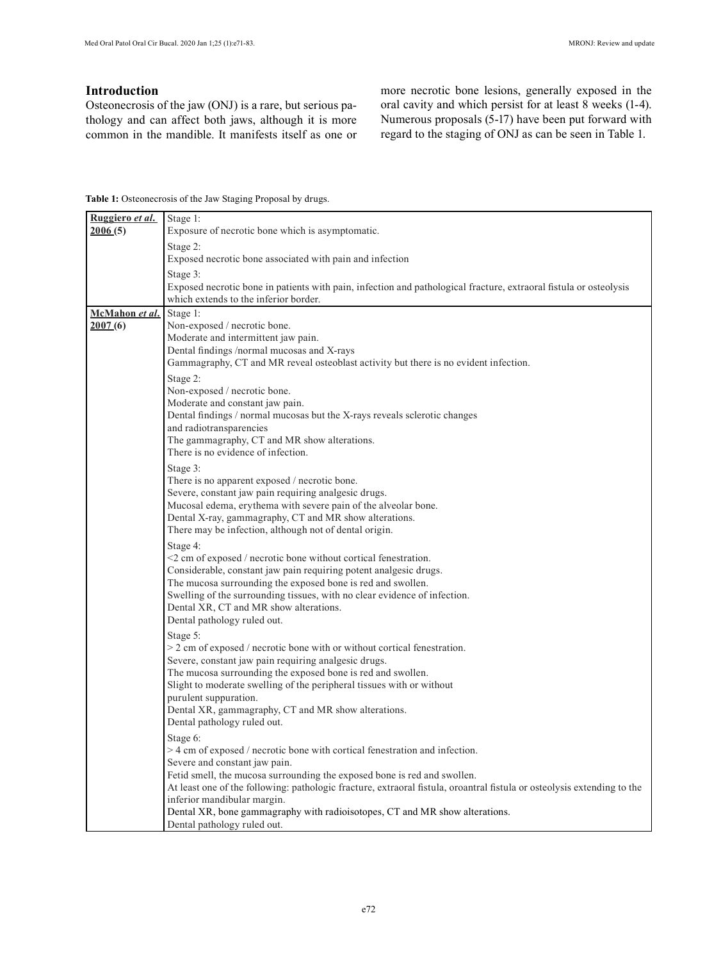٦

# **Introduction**

Osteonecrosis of the jaw (ONJ) is a rare, but serious pathology and can affect both jaws, although it is more common in the mandible. It manifests itself as one or more necrotic bone lesions, generally exposed in the oral cavity and which persist for at least 8 weeks (1-4). Numerous proposals (5-17) have been put forward with regard to the staging of ONJ as can be seen in Table 1.

**Table 1:** Osteonecrosis of the Jaw Staging Proposal by drugs.

| <u>Ruggiero <i>et al</i>.</u> | Stage 1:                                                                                                                |
|-------------------------------|-------------------------------------------------------------------------------------------------------------------------|
| 2006(5)                       | Exposure of necrotic bone which is asymptomatic.                                                                        |
|                               | Stage 2:                                                                                                                |
|                               | Exposed necrotic bone associated with pain and infection                                                                |
|                               | Stage 3:                                                                                                                |
|                               | Exposed necrotic bone in patients with pain, infection and pathological fracture, extraoral fistula or osteolysis       |
|                               | which extends to the inferior border.                                                                                   |
| McMahon et al.                | Stage 1:                                                                                                                |
| 2007(6)                       | Non-exposed / necrotic bone.                                                                                            |
|                               | Moderate and intermittent jaw pain.                                                                                     |
|                               | Dental findings /normal mucosas and X-rays                                                                              |
|                               | Gammagraphy, CT and MR reveal osteoblast activity but there is no evident infection.                                    |
|                               | Stage 2:                                                                                                                |
|                               | Non-exposed / necrotic bone.                                                                                            |
|                               | Moderate and constant jaw pain.                                                                                         |
|                               | Dental findings / normal mucosas but the X-rays reveals sclerotic changes<br>and radiotransparencies                    |
|                               | The gammagraphy, CT and MR show alterations.                                                                            |
|                               | There is no evidence of infection.                                                                                      |
|                               | Stage 3:                                                                                                                |
|                               | There is no apparent exposed / necrotic bone.                                                                           |
|                               | Severe, constant jaw pain requiring analgesic drugs.                                                                    |
|                               | Mucosal edema, erythema with severe pain of the alveolar bone.                                                          |
|                               | Dental X-ray, gammagraphy, CT and MR show alterations.                                                                  |
|                               | There may be infection, although not of dental origin.                                                                  |
|                               | Stage 4:                                                                                                                |
|                               | $\leq$ 2 cm of exposed / necrotic bone without cortical fenestration.                                                   |
|                               | Considerable, constant jaw pain requiring potent analgesic drugs.                                                       |
|                               | The mucosa surrounding the exposed bone is red and swollen.                                                             |
|                               | Swelling of the surrounding tissues, with no clear evidence of infection.                                               |
|                               | Dental XR, CT and MR show alterations.                                                                                  |
|                               | Dental pathology ruled out.                                                                                             |
|                               | Stage 5:                                                                                                                |
|                               | $>$ 2 cm of exposed / necrotic bone with or without cortical fenestration.                                              |
|                               | Severe, constant jaw pain requiring analgesic drugs.                                                                    |
|                               | The mucosa surrounding the exposed bone is red and swollen.                                                             |
|                               | Slight to moderate swelling of the peripheral tissues with or without                                                   |
|                               | purulent suppuration.                                                                                                   |
|                               | Dental XR, gammagraphy, CT and MR show alterations.                                                                     |
|                               | Dental pathology ruled out.                                                                                             |
|                               | Stage 6:                                                                                                                |
|                               | > 4 cm of exposed / necrotic bone with cortical fenestration and infection.                                             |
|                               | Severe and constant jaw pain.<br>Fetid smell, the mucosa surrounding the exposed bone is red and swollen.               |
|                               | At least one of the following: pathologic fracture, extraoral fistula, oroantral fistula or osteolysis extending to the |
|                               | inferior mandibular margin.                                                                                             |
|                               | Dental XR, bone gammagraphy with radioisotopes, CT and MR show alterations.                                             |
|                               | Dental pathology ruled out.                                                                                             |
|                               |                                                                                                                         |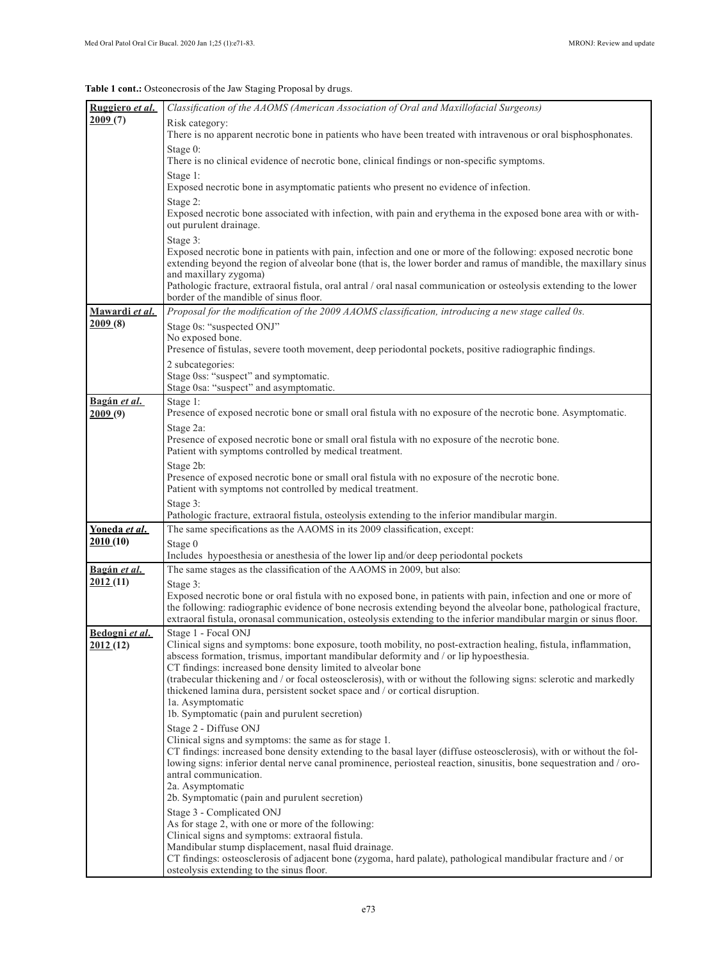**Table 1 cont.:** Osteonecrosis of the Jaw Staging Proposal by drugs.

| Ruggiero et al.            | Classification of the AAOMS (American Association of Oral and Maxillofacial Surgeons)                                                                                                                                                                                                                                                                                                                                                                                                                                                                                     |
|----------------------------|---------------------------------------------------------------------------------------------------------------------------------------------------------------------------------------------------------------------------------------------------------------------------------------------------------------------------------------------------------------------------------------------------------------------------------------------------------------------------------------------------------------------------------------------------------------------------|
| 2009(7)                    | Risk category:                                                                                                                                                                                                                                                                                                                                                                                                                                                                                                                                                            |
|                            | There is no apparent necrotic bone in patients who have been treated with intravenous or oral bisphosphonates.                                                                                                                                                                                                                                                                                                                                                                                                                                                            |
|                            | Stage 0:<br>There is no clinical evidence of necrotic bone, clinical findings or non-specific symptoms.                                                                                                                                                                                                                                                                                                                                                                                                                                                                   |
|                            | Stage 1:<br>Exposed necrotic bone in asymptomatic patients who present no evidence of infection.                                                                                                                                                                                                                                                                                                                                                                                                                                                                          |
|                            | Stage 2:<br>Exposed necrotic bone associated with infection, with pain and erythema in the exposed bone area with or with-<br>out purulent drainage.                                                                                                                                                                                                                                                                                                                                                                                                                      |
|                            | Stage 3:<br>Exposed necrotic bone in patients with pain, infection and one or more of the following: exposed necrotic bone<br>extending beyond the region of alveolar bone (that is, the lower border and ramus of mandible, the maxillary sinus<br>and maxillary zygoma)<br>Pathologic fracture, extraoral fistula, oral antral / oral nasal communication or osteolysis extending to the lower<br>border of the mandible of sinus floor.                                                                                                                                |
| Mawardi et al.             | Proposal for the modification of the 2009 AAOMS classification, introducing a new stage called 0s.                                                                                                                                                                                                                                                                                                                                                                                                                                                                        |
| 2009(8)                    | Stage 0s: "suspected ONJ"                                                                                                                                                                                                                                                                                                                                                                                                                                                                                                                                                 |
|                            | No exposed bone.                                                                                                                                                                                                                                                                                                                                                                                                                                                                                                                                                          |
|                            | Presence of fistulas, severe tooth movement, deep periodontal pockets, positive radiographic findings.                                                                                                                                                                                                                                                                                                                                                                                                                                                                    |
|                            | 2 subcategories:<br>Stage 0ss: "suspect" and symptomatic.                                                                                                                                                                                                                                                                                                                                                                                                                                                                                                                 |
|                            | Stage 0sa: "suspect" and asymptomatic.                                                                                                                                                                                                                                                                                                                                                                                                                                                                                                                                    |
| Bagán et al.               | Stage 1:                                                                                                                                                                                                                                                                                                                                                                                                                                                                                                                                                                  |
| 2009(9)                    | Presence of exposed necrotic bone or small oral fistula with no exposure of the necrotic bone. Asymptomatic.                                                                                                                                                                                                                                                                                                                                                                                                                                                              |
|                            | Stage 2a:<br>Presence of exposed necrotic bone or small oral fistula with no exposure of the necrotic bone.                                                                                                                                                                                                                                                                                                                                                                                                                                                               |
|                            | Patient with symptoms controlled by medical treatment.                                                                                                                                                                                                                                                                                                                                                                                                                                                                                                                    |
|                            | Stage 2b:                                                                                                                                                                                                                                                                                                                                                                                                                                                                                                                                                                 |
|                            | Presence of exposed necrotic bone or small oral fistula with no exposure of the necrotic bone.<br>Patient with symptoms not controlled by medical treatment.                                                                                                                                                                                                                                                                                                                                                                                                              |
|                            | Stage 3:<br>Pathologic fracture, extraoral fistula, osteolysis extending to the inferior mandibular margin.                                                                                                                                                                                                                                                                                                                                                                                                                                                               |
| Yoneda et al.              | The same specifications as the AAOMS in its 2009 classification, except:                                                                                                                                                                                                                                                                                                                                                                                                                                                                                                  |
| 2010 (10)                  | Stage 0                                                                                                                                                                                                                                                                                                                                                                                                                                                                                                                                                                   |
|                            | Includes hypoesthesia or anesthesia of the lower lip and/or deep periodontal pockets                                                                                                                                                                                                                                                                                                                                                                                                                                                                                      |
| <u>Bagán <i>et al</i>.</u> | The same stages as the classification of the AAOMS in 2009, but also:                                                                                                                                                                                                                                                                                                                                                                                                                                                                                                     |
| 2012(11)                   | Stage 3:<br>Exposed necrotic bone or oral fistula with no exposed bone, in patients with pain, infection and one or more of<br>the following: radiographic evidence of bone necrosis extending beyond the alveolar bone, pathological fracture,<br>extraoral fistula, oronasal communication, osteolysis extending to the inferior mandibular margin or sinus floor.                                                                                                                                                                                                      |
| Bedogni et al.<br>2012(12) | Stage 1 - Focal ONJ<br>Clinical signs and symptoms: bone exposure, tooth mobility, no post-extraction healing, fistula, inflammation,<br>abscess formation, trismus, important mandibular deformity and / or lip hypoesthesia.<br>CT findings: increased bone density limited to alveolar bone<br>(trabecular thickening and / or focal osteosclerosis), with or without the following signs: sclerotic and markedly<br>thickened lamina dura, persistent socket space and / or cortical disruption.<br>la. Asymptomatic<br>1b. Symptomatic (pain and purulent secretion) |
|                            | Stage 2 - Diffuse ONJ<br>Clinical signs and symptoms: the same as for stage 1.<br>CT findings: increased bone density extending to the basal layer (diffuse osteosclerosis), with or without the fol-<br>lowing signs: inferior dental nerve canal prominence, periosteal reaction, sinusitis, bone sequestration and / oro-<br>antral communication.<br>2a. Asymptomatic<br>2b. Symptomatic (pain and purulent secretion)<br>Stage 3 - Complicated ONJ                                                                                                                   |
|                            | As for stage 2, with one or more of the following:<br>Clinical signs and symptoms: extraoral fistula.<br>Mandibular stump displacement, nasal fluid drainage.<br>CT findings: osteosclerosis of adjacent bone (zygoma, hard palate), pathological mandibular fracture and / or<br>osteolysis extending to the sinus floor.                                                                                                                                                                                                                                                |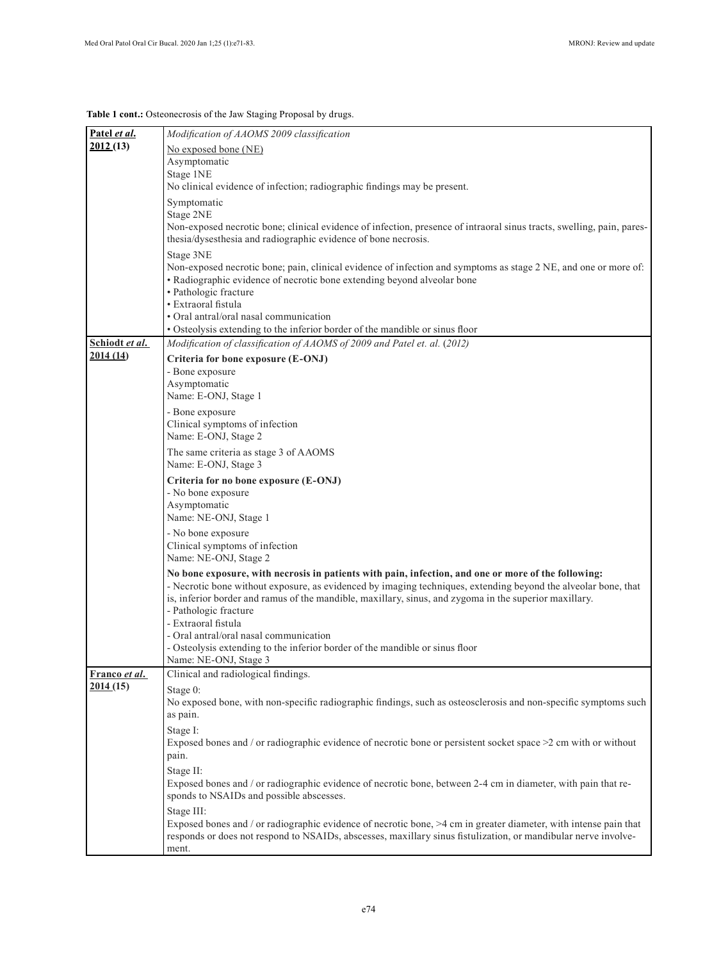**Table 1 cont.:** Osteonecrosis of the Jaw Staging Proposal by drugs.

| Patel et al.     | Modification of AAOMS 2009 classification                                                                                          |
|------------------|------------------------------------------------------------------------------------------------------------------------------------|
| 2012(13)         | No exposed bone (NE)                                                                                                               |
|                  | Asymptomatic                                                                                                                       |
|                  | Stage 1NE                                                                                                                          |
|                  | No clinical evidence of infection; radiographic findings may be present.                                                           |
|                  | Symptomatic                                                                                                                        |
|                  | Stage 2NE<br>Non-exposed necrotic bone; clinical evidence of infection, presence of intraoral sinus tracts, swelling, pain, pares- |
|                  | thesia/dysesthesia and radiographic evidence of bone necrosis.                                                                     |
|                  | Stage 3NE<br>Non-exposed necrotic bone; pain, clinical evidence of infection and symptoms as stage 2 NE, and one or more of:       |
|                  | • Radiographic evidence of necrotic bone extending beyond alveolar bone                                                            |
|                  | • Pathologic fracture                                                                                                              |
|                  | · Extraoral fistula                                                                                                                |
|                  | • Oral antral/oral nasal communication                                                                                             |
| Schiodt et al.   | • Osteolysis extending to the inferior border of the mandible or sinus floor                                                       |
| 2014(14)         | Modification of classification of AAOMS of 2009 and Patel et. al. (2012)                                                           |
|                  | Criteria for bone exposure (E-ONJ)<br>- Bone exposure                                                                              |
|                  | Asymptomatic                                                                                                                       |
|                  | Name: E-ONJ, Stage 1                                                                                                               |
|                  | - Bone exposure                                                                                                                    |
|                  | Clinical symptoms of infection                                                                                                     |
|                  | Name: E-ONJ, Stage 2                                                                                                               |
|                  | The same criteria as stage 3 of AAOMS<br>Name: E-ONJ, Stage 3                                                                      |
|                  | Criteria for no bone exposure (E-ONJ)                                                                                              |
|                  | - No bone exposure                                                                                                                 |
|                  | Asymptomatic<br>Name: NE-ONJ, Stage 1                                                                                              |
|                  | - No bone exposure                                                                                                                 |
|                  | Clinical symptoms of infection                                                                                                     |
|                  | Name: NE-ONJ, Stage 2                                                                                                              |
|                  | No bone exposure, with necrosis in patients with pain, infection, and one or more of the following:                                |
|                  | - Necrotic bone without exposure, as evidenced by imaging techniques, extending beyond the alveolar bone, that                     |
|                  | is, inferior border and ramus of the mandible, maxillary, sinus, and zygoma in the superior maxillary.                             |
|                  | - Pathologic fracture<br>- Extraoral fistula                                                                                       |
|                  | - Oral antral/oral nasal communication                                                                                             |
|                  | - Osteolysis extending to the inferior border of the mandible or sinus floor                                                       |
|                  | Name: NE-ONJ, Stage 3                                                                                                              |
| Franco et al.    | Clinical and radiological findings.                                                                                                |
| <u>2014 (15)</u> | Stage 0:                                                                                                                           |
|                  | No exposed bone, with non-specific radiographic findings, such as osteosclerosis and non-specific symptoms such                    |
|                  | as pain.                                                                                                                           |
|                  | Stage I:<br>Exposed bones and / or radiographic evidence of necrotic bone or persistent socket space $>2$ cm with or without       |
|                  | pain.                                                                                                                              |
|                  | Stage II:                                                                                                                          |
|                  | Exposed bones and / or radiographic evidence of necrotic bone, between 2-4 cm in diameter, with pain that re-                      |
|                  | sponds to NSAIDs and possible abscesses.                                                                                           |
|                  | Stage III:                                                                                                                         |
|                  | Exposed bones and / or radiographic evidence of necrotic bone, $>4$ cm in greater diameter, with intense pain that                 |
|                  | responds or does not respond to NSAIDs, abscesses, maxillary sinus fistulization, or mandibular nerve involve-                     |
|                  | ment.                                                                                                                              |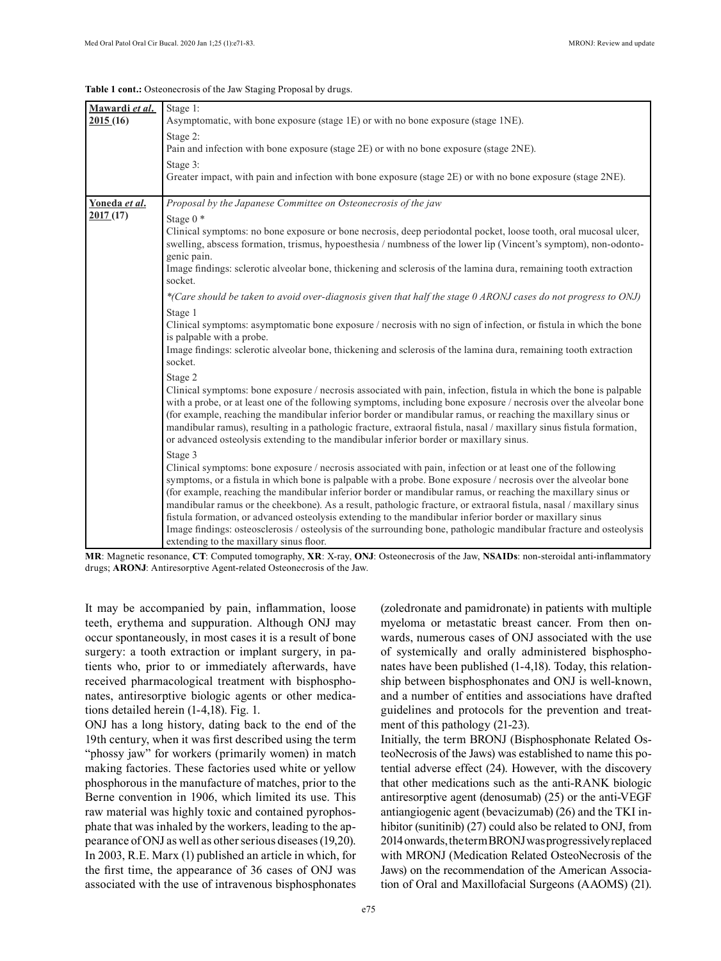#### **Table 1 cont.:** Osteonecrosis of the Jaw Staging Proposal by drugs.

| Mawardi et al. | Stage 1:                                                                                                             |
|----------------|----------------------------------------------------------------------------------------------------------------------|
| 2015(16)       | Asymptomatic, with bone exposure (stage 1E) or with no bone exposure (stage 1NE).                                    |
|                | Stage 2:                                                                                                             |
|                | Pain and infection with bone exposure (stage 2E) or with no bone exposure (stage 2NE).                               |
|                | Stage 3:                                                                                                             |
|                | Greater impact, with pain and infection with bone exposure (stage 2E) or with no bone exposure (stage 2NE).          |
|                |                                                                                                                      |
| Yoneda et al.  | Proposal by the Japanese Committee on Osteonecrosis of the jaw                                                       |
| 2017(17)       | Stage $0$ $*$                                                                                                        |
|                | Clinical symptoms: no bone exposure or bone necrosis, deep periodontal pocket, loose tooth, oral mucosal ulcer,      |
|                | swelling, abscess formation, trismus, hypoesthesia / numbness of the lower lip (Vincent's symptom), non-odonto-      |
|                | genic pain.                                                                                                          |
|                | Image findings: sclerotic alveolar bone, thickening and sclerosis of the lamina dura, remaining tooth extraction     |
|                | socket.                                                                                                              |
|                | *(Care should be taken to avoid over-diagnosis given that half the stage 0 ARONJ cases do not progress to ONJ)       |
|                | Stage 1                                                                                                              |
|                | Clinical symptoms: asymptomatic bone exposure / necrosis with no sign of infection, or fistula in which the bone     |
|                | is palpable with a probe.                                                                                            |
|                | Image findings: sclerotic alveolar bone, thickening and sclerosis of the lamina dura, remaining tooth extraction     |
|                | socket.                                                                                                              |
|                | Stage 2                                                                                                              |
|                | Clinical symptoms: bone exposure / necrosis associated with pain, infection, fistula in which the bone is palpable   |
|                | with a probe, or at least one of the following symptoms, including bone exposure / necrosis over the alveolar bone   |
|                | (for example, reaching the mandibular inferior border or mandibular ramus, or reaching the maxillary sinus or        |
|                | mandibular ramus), resulting in a pathologic fracture, extraoral fistula, nasal / maxillary sinus fistula formation, |
|                | or advanced osteolysis extending to the mandibular inferior border or maxillary sinus.                               |
|                | Stage 3                                                                                                              |
|                | Clinical symptoms: bone exposure / necrosis associated with pain, infection or at least one of the following         |
|                | symptoms, or a fistula in which bone is palpable with a probe. Bone exposure / necrosis over the alveolar bone       |
|                | (for example, reaching the mandibular inferior border or mandibular ramus, or reaching the maxillary sinus or        |
|                | mandibular ramus or the cheekbone). As a result, pathologic fracture, or extraoral fistula, nasal / maxillary sinus  |
|                | fistula formation, or advanced osteolysis extending to the mandibular inferior border or maxillary sinus             |
|                | Image findings: osteosclerosis / osteolysis of the surrounding bone, pathologic mandibular fracture and osteolysis   |
|                | extending to the maxillary sinus floor.                                                                              |

**MR**: Magnetic resonance, **CT**: Computed tomography, **XR**: X-ray, **ONJ**: Osteonecrosis of the Jaw, **NSAIDs**: non-steroidal anti-inflammatory drugs; **ARONJ**: Antiresorptive Agent-related Osteonecrosis of the Jaw.

It may be accompanied by pain, inflammation, loose teeth, erythema and suppuration. Although ONJ may occur spontaneously, in most cases it is a result of bone surgery: a tooth extraction or implant surgery, in patients who, prior to or immediately afterwards, have received pharmacological treatment with bisphosphonates, antiresorptive biologic agents or other medications detailed herein (1-4,18). Fig. 1.

ONJ has a long history, dating back to the end of the 19th century, when it was first described using the term "phossy jaw" for workers (primarily women) in match making factories. These factories used white or yellow phosphorous in the manufacture of matches, prior to the Berne convention in 1906, which limited its use. This raw material was highly toxic and contained pyrophosphate that was inhaled by the workers, leading to the appearance of ONJ as well as other serious diseases (19,20). In 2003, R.E. Marx (1) published an article in which, for the first time, the appearance of 36 cases of ONJ was associated with the use of intravenous bisphosphonates

(zoledronate and pamidronate) in patients with multiple myeloma or metastatic breast cancer. From then onwards, numerous cases of ONJ associated with the use of systemically and orally administered bisphosphonates have been published (1-4,18). Today, this relationship between bisphosphonates and ONJ is well-known, and a number of entities and associations have drafted guidelines and protocols for the prevention and treatment of this pathology (21-23).

Initially, the term BRONJ (Bisphosphonate Related OsteoNecrosis of the Jaws) was established to name this potential adverse effect (24). However, with the discovery that other medications such as the anti-RANK biologic antiresorptive agent (denosumab) (25) or the anti-VEGF antiangiogenic agent (bevacizumab) (26) and the TKI inhibitor (sunitinib) (27) could also be related to ONJ, from 2014 onwards, the term BRONJ was progressively replaced with MRONJ (Medication Related OsteoNecrosis of the Jaws) on the recommendation of the American Association of Oral and Maxillofacial Surgeons (AAOMS) (21).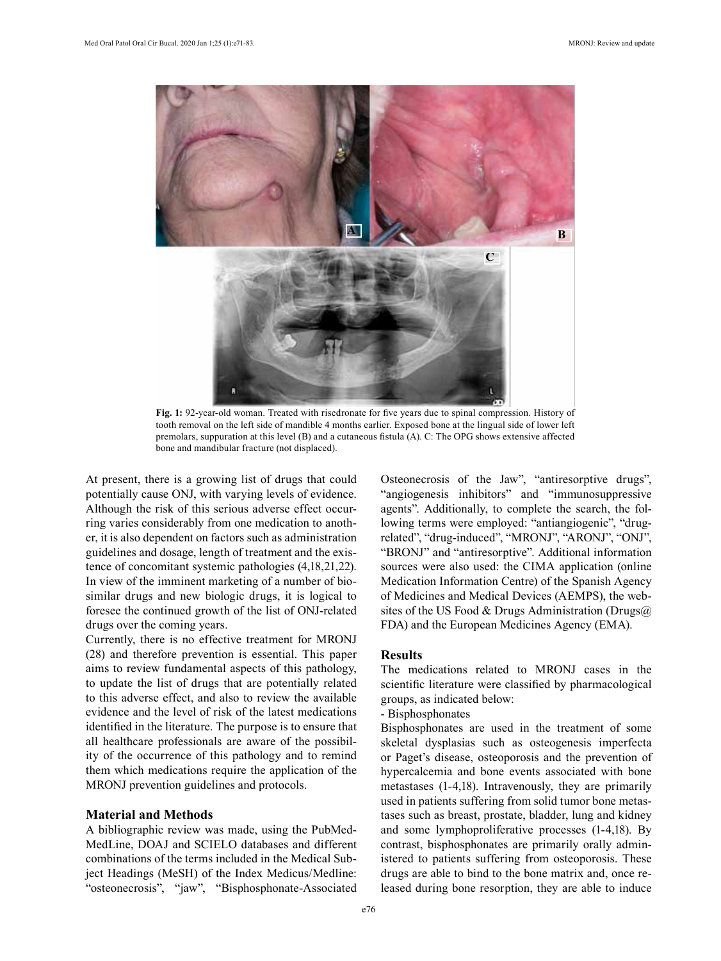

**Fig. 1:** 92-year-old woman. Treated with risedronate for five years due to spinal compression. History of tooth removal on the left side of mandible 4 months earlier. Exposed bone at the lingual side of lower left premolars, suppuration at this level (B) and a cutaneous fistula (A). C: The OPG shows extensive affected bone and mandibular fracture (not displaced).

At present, there is a growing list of drugs that could potentially cause ONJ, with varying levels of evidence. Although the risk of this serious adverse effect occurring varies considerably from one medication to another, it is also dependent on factors such as administration guidelines and dosage, length of treatment and the existence of concomitant systemic pathologies (4,18,21,22). In view of the imminent marketing of a number of biosimilar drugs and new biologic drugs, it is logical to foresee the continued growth of the list of ONJ-related drugs over the coming years.

Currently, there is no effective treatment for MRONJ (28) and therefore prevention is essential. This paper aims to review fundamental aspects of this pathology, to update the list of drugs that are potentially related to this adverse effect, and also to review the available evidence and the level of risk of the latest medications identified in the literature. The purpose is to ensure that all healthcare professionals are aware of the possibility of the occurrence of this pathology and to remind them which medications require the application of the MRONJ prevention guidelines and protocols.

## **Material and Methods**

A bibliographic review was made, using the PubMed-MedLine, DOAJ and SCIELO databases and different combinations of the terms included in the Medical Subject Headings (MeSH) of the Index Medicus/Medline: "osteonecrosis", "jaw", "Bisphosphonate-Associated Osteonecrosis of the Jaw", "antiresorptive drugs", "angiogenesis inhibitors" and "immunosuppressive agents". Additionally, to complete the search, the following terms were employed: "antiangiogenic", "drugrelated", "drug-induced", "MRONJ", "ARONJ", "ONJ", "BRONJ" and "antiresorptive". Additional information sources were also used: the CIMA application (online Medication Information Centre) of the Spanish Agency of Medicines and Medical Devices (AEMPS), the websites of the US Food & Drugs Administration (Drugs $@$ FDA) and the European Medicines Agency (EMA).

#### **Results**

The medications related to MRONJ cases in the scientific literature were classified by pharmacological groups, as indicated below:

- Bisphosphonates

Bisphosphonates are used in the treatment of some skeletal dysplasias such as osteogenesis imperfecta or Paget's disease, osteoporosis and the prevention of hypercalcemia and bone events associated with bone metastases (1-4,18). Intravenously, they are primarily used in patients suffering from solid tumor bone metastases such as breast, prostate, bladder, lung and kidney and some lymphoproliferative processes (1-4,18). By contrast, bisphosphonates are primarily orally administered to patients suffering from osteoporosis. These drugs are able to bind to the bone matrix and, once released during bone resorption, they are able to induce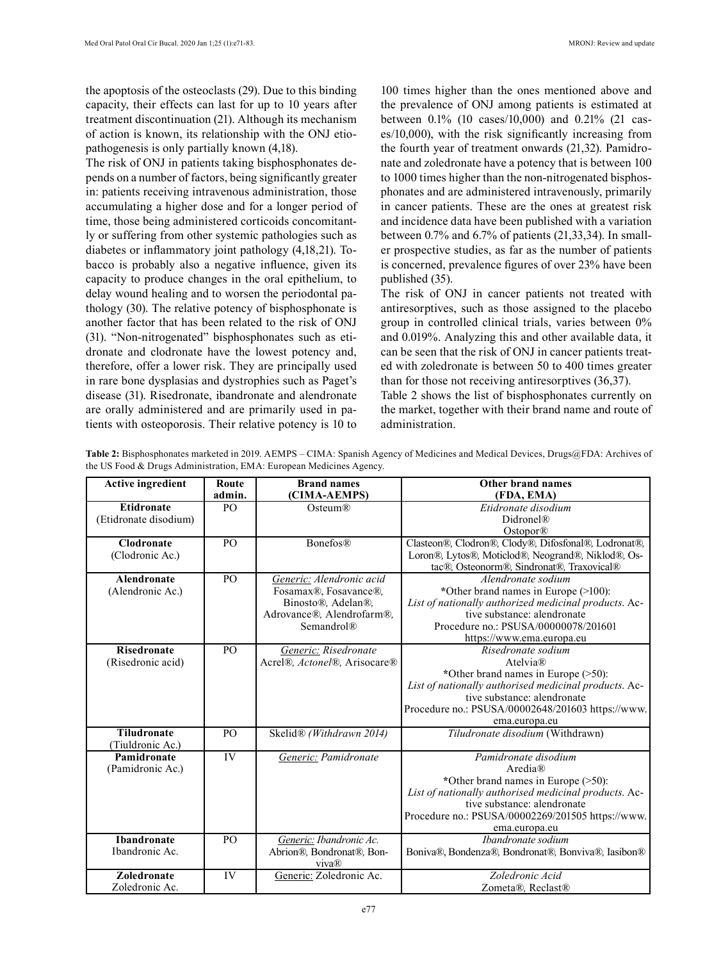the apoptosis of the osteoclasts (29). Due to this binding capacity, their effects can last for up to 10 years after treatment discontinuation (21). Although its mechanism of action is known, its relationship with the ONJ etiopathogenesis is only partially known (4,18).

The risk of ONJ in patients taking bisphosphonates depends on a number of factors, being significantly greater in: patients receiving intravenous administration, those accumulating a higher dose and for a longer period of time, those being administered corticoids concomitantly or suffering from other systemic pathologies such as diabetes or inflammatory joint pathology (4,18,21). Tobacco is probably also a negative influence, given its capacity to produce changes in the oral epithelium, to delay wound healing and to worsen the periodontal pathology (30). The relative potency of bisphosphonate is another factor that has been related to the risk of ONJ (31). "Non-nitrogenated" bisphosphonates such as etidronate and clodronate have the lowest potency and, therefore, offer a lower risk. They are principally used in rare bone dysplasias and dystrophies such as Paget's disease (31). Risedronate, ibandronate and alendronate are orally administered and are primarily used in patients with osteoporosis. Their relative potency is 10 to

100 times higher than the ones mentioned above and the prevalence of ONJ among patients is estimated at between 0.1% (10 cases/10,000) and 0.21% (21 cases/10,000), with the risk significantly increasing from the fourth year of treatment onwards (21,32). Pamidronate and zoledronate have a potency that is between 100 to 1000 times higher than the non-nitrogenated bisphosphonates and are administered intravenously, primarily in cancer patients. These are the ones at greatest risk and incidence data have been published with a variation between 0.7% and 6.7% of patients (21,33,34). In smaller prospective studies, as far as the number of patients is concerned, prevalence figures of over 23% have been published (35).

The risk of ONJ in cancer patients not treated with antiresorptives, such as those assigned to the placebo group in controlled clinical trials, varies between 0% and 0.019%. Analyzing this and other available data, it can be seen that the risk of ONJ in cancer patients treated with zoledronate is between 50 to 400 times greater than for those not receiving antiresorptives (36,37).

Table 2 shows the list of bisphosphonates currently on the market, together with their brand name and route of administration.

| Table 2: Bisphosphonates marketed in 2019. AEMPS – CIMA: Spanish Agency of Medicines and Medical Devices, Drugs@FDA: Archives of |  |  |
|----------------------------------------------------------------------------------------------------------------------------------|--|--|
| the US Food & Drugs Administration, EMA: European Medicines Agency.                                                              |  |  |

| <b>Active ingredient</b> | Route          | <b>Brand names</b>           | Other brand names                                     |
|--------------------------|----------------|------------------------------|-------------------------------------------------------|
|                          | admin.         | (CIMA-AEMPS)                 | (FDA, EMA)                                            |
| <b>Etidronate</b>        | PO             | Osteum®                      | Etidronate disodium                                   |
| (Etidronate disodium)    |                |                              | Didronel <sup>®</sup>                                 |
|                          |                |                              | Ostopor <sup>®</sup>                                  |
| <b>Clodronate</b>        | PO             | <b>Bonefos®</b>              | Clasteon®, Clodron®, Clody®, Difosfonal®, Lodronat®,  |
| (Clodronic Ac.)          |                |                              | Loron®, Lytos®, Moticlod®, Neogrand®, Niklod®, Os-    |
|                          |                |                              | tac®, Osteonorm®, Sindronat®, Traxovical®             |
| <b>Alendronate</b>       | P <sub>O</sub> | Generic: Alendronic acid     | Alendronate sodium                                    |
| (Alendronic Ac.)         |                | Fosamax®, Fosavance®,        | *Other brand names in Europe (>100):                  |
|                          |                | Binosto®, Adelan®,           | List of nationally authorized medicinal products. Ac- |
|                          |                | Adrovance®, Alendrofarm®,    | tive substance: alendronate                           |
|                          |                | Semandrol®                   | Procedure no.: PSUSA/00000078/201601                  |
|                          |                |                              | https://www.ema.europa.eu                             |
| <b>Risedronate</b>       | PO             | Generic: Risedronate         | Risedronate sodium                                    |
| (Risedronic acid)        |                | Acrel®, Actonel®, Arisocare® | Atelvia®                                              |
|                          |                |                              | *Other brand names in Europe $($ >50):                |
|                          |                |                              | List of nationally authorised medicinal products. Ac- |
|                          |                |                              | tive substance: alendronate                           |
|                          |                |                              | Procedure no.: PSUSA/00002648/201603 https://www.     |
|                          |                |                              | ema.europa.eu                                         |
| <b>Tiludronate</b>       | PO             | Skelid® (Withdrawn 2014)     | Tiludronate disodium (Withdrawn)                      |
| (Tiuldronic Ac.)         |                |                              |                                                       |
| Pamidronate              | IV             | Generic: Pamidronate         | Pamidronate disodium                                  |
| (Pamidronic Ac.)         |                |                              | Aredia®                                               |
|                          |                |                              | *Other brand names in Europe (>50):                   |
|                          |                |                              | List of nationally authorised medicinal products. Ac- |
|                          |                |                              | tive substance: alendronate                           |
|                          |                |                              | Procedure no.: PSUSA/00002269/201505 https://www.     |
|                          |                |                              | ema.europa.eu                                         |
| <b>Ibandronate</b>       | PO             | Generic: Ibandronic Ac.      | <i>Ibandronate sodium</i>                             |
| Ibandronic Ac.           |                | Abrion®, Bondronat®, Bon-    | Boniva®, Bondenza®, Bondronat®, Bonviva®, Iasibon®    |
|                          |                | viva®                        |                                                       |
| <b>Zoledronate</b>       | IV             | Generic: Zoledronic Ac.      | Zoledronic Acid                                       |
| Zoledronic Ac.           |                |                              | Zometa®. Reclast®                                     |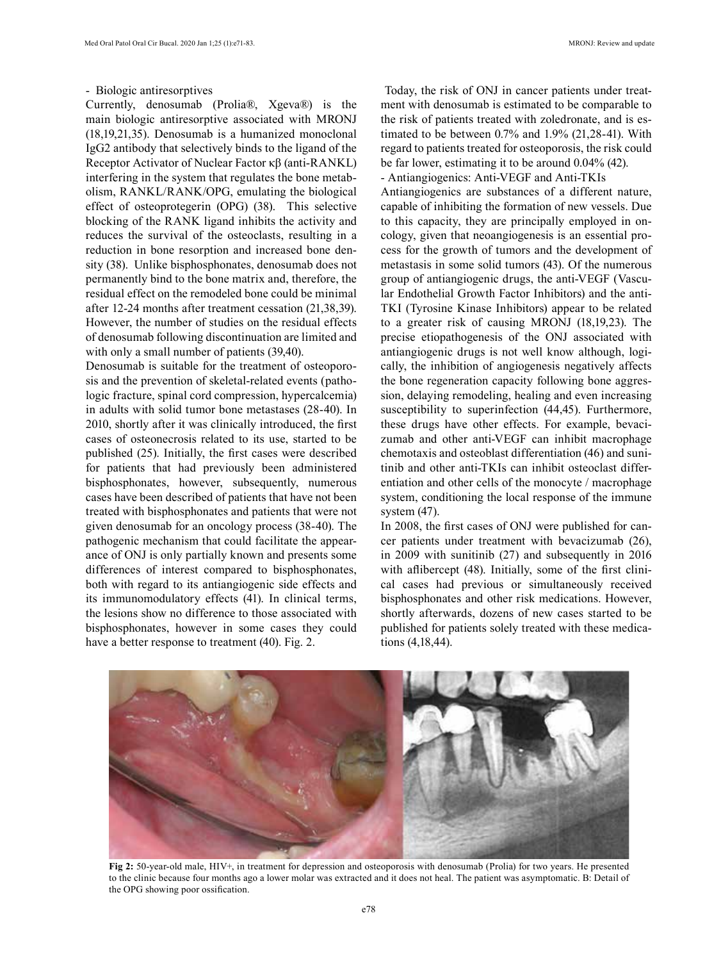#### - Biologic antiresorptives

Currently, denosumab (Prolia®, Xgeva®) is the main biologic antiresorptive associated with MRONJ (18,19,21,35). Denosumab is a humanized monoclonal IgG2 antibody that selectively binds to the ligand of the Receptor Activator of Nuclear Factor κβ (anti-RANKL) interfering in the system that regulates the bone metabolism, RANKL/RANK/OPG, emulating the biological effect of osteoprotegerin (OPG) (38). This selective blocking of the RANK ligand inhibits the activity and reduces the survival of the osteoclasts, resulting in a reduction in bone resorption and increased bone density (38). Unlike bisphosphonates, denosumab does not permanently bind to the bone matrix and, therefore, the residual effect on the remodeled bone could be minimal after 12-24 months after treatment cessation (21,38,39). However, the number of studies on the residual effects of denosumab following discontinuation are limited and with only a small number of patients (39,40).

Denosumab is suitable for the treatment of osteoporosis and the prevention of skeletal-related events (pathologic fracture, spinal cord compression, hypercalcemia) in adults with solid tumor bone metastases (28-40). In 2010, shortly after it was clinically introduced, the first cases of osteonecrosis related to its use, started to be published (25). Initially, the first cases were described for patients that had previously been administered bisphosphonates, however, subsequently, numerous cases have been described of patients that have not been treated with bisphosphonates and patients that were not given denosumab for an oncology process (38-40). The pathogenic mechanism that could facilitate the appearance of ONJ is only partially known and presents some differences of interest compared to bisphosphonates, both with regard to its antiangiogenic side effects and its immunomodulatory effects (41). In clinical terms, the lesions show no difference to those associated with bisphosphonates, however in some cases they could have a better response to treatment (40). Fig. 2.

 Today, the risk of ONJ in cancer patients under treatment with denosumab is estimated to be comparable to the risk of patients treated with zoledronate, and is estimated to be between 0.7% and 1.9% (21,28-41). With regard to patients treated for osteoporosis, the risk could be far lower, estimating it to be around 0.04% (42). - Antiangiogenics: Anti-VEGF and Anti-TKIs

Antiangiogenics are substances of a different nature, capable of inhibiting the formation of new vessels. Due to this capacity, they are principally employed in oncology, given that neoangiogenesis is an essential process for the growth of tumors and the development of metastasis in some solid tumors (43). Of the numerous group of antiangiogenic drugs, the anti-VEGF (Vascular Endothelial Growth Factor Inhibitors) and the anti-TKI (Tyrosine Kinase Inhibitors) appear to be related to a greater risk of causing MRONJ (18,19,23). The precise etiopathogenesis of the ONJ associated with antiangiogenic drugs is not well know although, logically, the inhibition of angiogenesis negatively affects the bone regeneration capacity following bone aggression, delaying remodeling, healing and even increasing susceptibility to superinfection (44,45). Furthermore, these drugs have other effects. For example, bevacizumab and other anti-VEGF can inhibit macrophage chemotaxis and osteoblast differentiation (46) and sunitinib and other anti-TKIs can inhibit osteoclast differentiation and other cells of the monocyte / macrophage system, conditioning the local response of the immune system (47).

In 2008, the first cases of ONJ were published for cancer patients under treatment with bevacizumab (26), in 2009 with sunitinib (27) and subsequently in 2016 with affibercept (48). Initially, some of the first clinical cases had previous or simultaneously received bisphosphonates and other risk medications. However, shortly afterwards, dozens of new cases started to be published for patients solely treated with these medications (4,18,44).



**Fig 2:** 50-year-old male, HIV+, in treatment for depression and osteoporosis with denosumab (Prolia) for two years. He presented to the clinic because four months ago a lower molar was extracted and it does not heal. The patient was asymptomatic. B: Detail of the OPG showing poor ossification.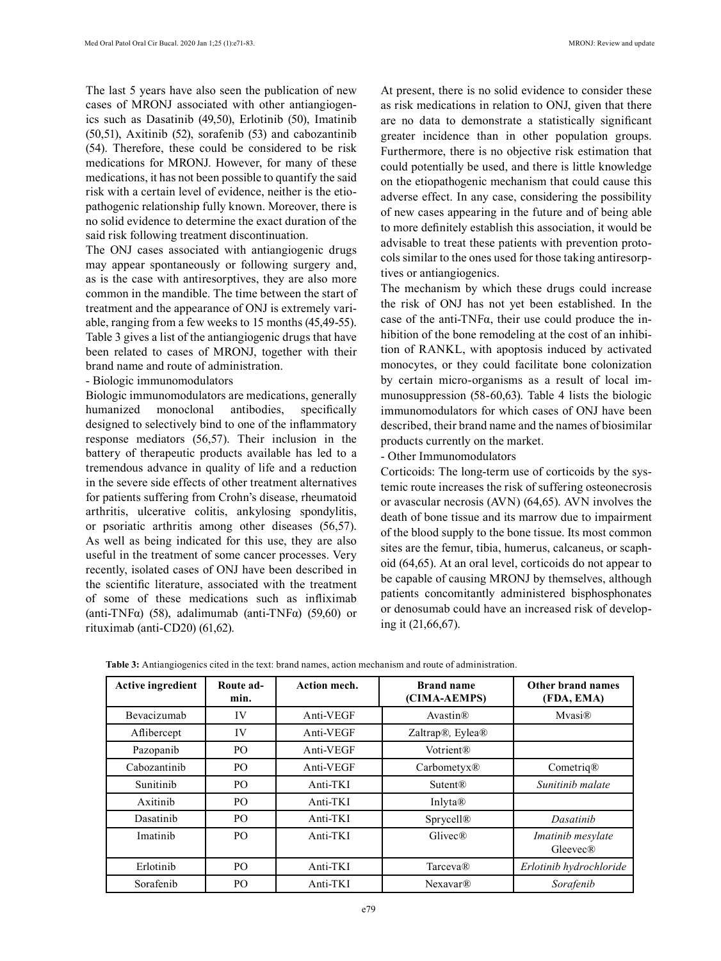The last 5 years have also seen the publication of new cases of MRONJ associated with other antiangiogenics such as Dasatinib (49,50), Erlotinib (50), Imatinib (50,51), Axitinib (52), sorafenib (53) and cabozantinib (54). Therefore, these could be considered to be risk medications for MRONJ. However, for many of these medications, it has not been possible to quantify the said risk with a certain level of evidence, neither is the etiopathogenic relationship fully known. Moreover, there is no solid evidence to determine the exact duration of the said risk following treatment discontinuation.

The ONJ cases associated with antiangiogenic drugs may appear spontaneously or following surgery and, as is the case with antiresorptives, they are also more common in the mandible. The time between the start of treatment and the appearance of ONJ is extremely variable, ranging from a few weeks to 15 months (45,49-55). Table 3 gives a list of the antiangiogenic drugs that have been related to cases of MRONJ, together with their brand name and route of administration.

#### - Biologic immunomodulators

Biologic immunomodulators are medications, generally humanized monoclonal antibodies, specifically designed to selectively bind to one of the inflammatory response mediators (56,57). Their inclusion in the battery of therapeutic products available has led to a tremendous advance in quality of life and a reduction in the severe side effects of other treatment alternatives for patients suffering from Crohn's disease, rheumatoid arthritis, ulcerative colitis, ankylosing spondylitis, or psoriatic arthritis among other diseases (56,57). As well as being indicated for this use, they are also useful in the treatment of some cancer processes. Very recently, isolated cases of ONJ have been described in the scientific literature, associated with the treatment of some of these medications such as infliximab (anti-TNF $\alpha$ ) (58), adalimumab (anti-TNF $\alpha$ ) (59,60) or rituximab (anti-CD20) (61,62).

At present, there is no solid evidence to consider these as risk medications in relation to ONJ, given that there are no data to demonstrate a statistically significant greater incidence than in other population groups. Furthermore, there is no objective risk estimation that could potentially be used, and there is little knowledge on the etiopathogenic mechanism that could cause this adverse effect. In any case, considering the possibility of new cases appearing in the future and of being able to more definitely establish this association, it would be advisable to treat these patients with prevention protocols similar to the ones used for those taking antiresorptives or antiangiogenics.

The mechanism by which these drugs could increase the risk of ONJ has not yet been established. In the case of the anti-TNF $\alpha$ , their use could produce the inhibition of the bone remodeling at the cost of an inhibition of RANKL, with apoptosis induced by activated monocytes, or they could facilitate bone colonization by certain micro-organisms as a result of local immunosuppression (58-60,63). Table 4 lists the biologic immunomodulators for which cases of ONJ have been described, their brand name and the names of biosimilar products currently on the market.

#### - Other Immunomodulators

Corticoids: The long-term use of corticoids by the systemic route increases the risk of suffering osteonecrosis or avascular necrosis (AVN) (64,65). AVN involves the death of bone tissue and its marrow due to impairment of the blood supply to the bone tissue. Its most common sites are the femur, tibia, humerus, calcaneus, or scaphoid (64,65). At an oral level, corticoids do not appear to be capable of causing MRONJ by themselves, although patients concomitantly administered bisphosphonates or denosumab could have an increased risk of developing it (21,66,67).

| <b>Active ingredient</b> | Route ad-<br>min. | <b>Action mech.</b> | <b>Brand name</b><br>(CIMA-AEMPS)         | Other brand names<br>(FDA, EMA) |
|--------------------------|-------------------|---------------------|-------------------------------------------|---------------------------------|
| Bevacizumab              | IV                | Anti-VEGF           | Avastin <sup>®</sup>                      | Mvasi®                          |
| Aflibercept              | IV                | Anti-VEGF           | Zaltrap <sup>®</sup> , Eylea <sup>®</sup> |                                 |
| Pazopanib                | PO                | Anti-VEGF           | <b>Votrient®</b>                          |                                 |
| Cabozantinib             | PO                | Anti-VEGF           | $Carbometry \&$                           | Cometriq@                       |
| Sunitinib                | PO                | Anti-TKI            | <b>Sutent®</b>                            | Sunitinib malate                |
| Axitinib                 | PO                | Anti-TKI            | Inlyta®                                   |                                 |
| Dasatinib                | PO.               | Anti-TKI            | Sprycell <sup>®</sup>                     | Dasatinib                       |
| Imatinib                 | P <sub>O</sub>    | Anti-TKI            | $\text{Glivec}(\mathbb{R})$               | Imatinib mesylate<br>Gleevec®   |
| Erlotinib                | PO                | Anti-TKI            | Tarceva®                                  | Erlotinib hydrochloride         |
| Sorafenib                | P <sub>O</sub>    | Anti-TKI            | Nexavar <sup>®</sup>                      | Sorafenib                       |

**Table 3:** Antiangiogenics cited in the text: brand names, action mechanism and route of administration.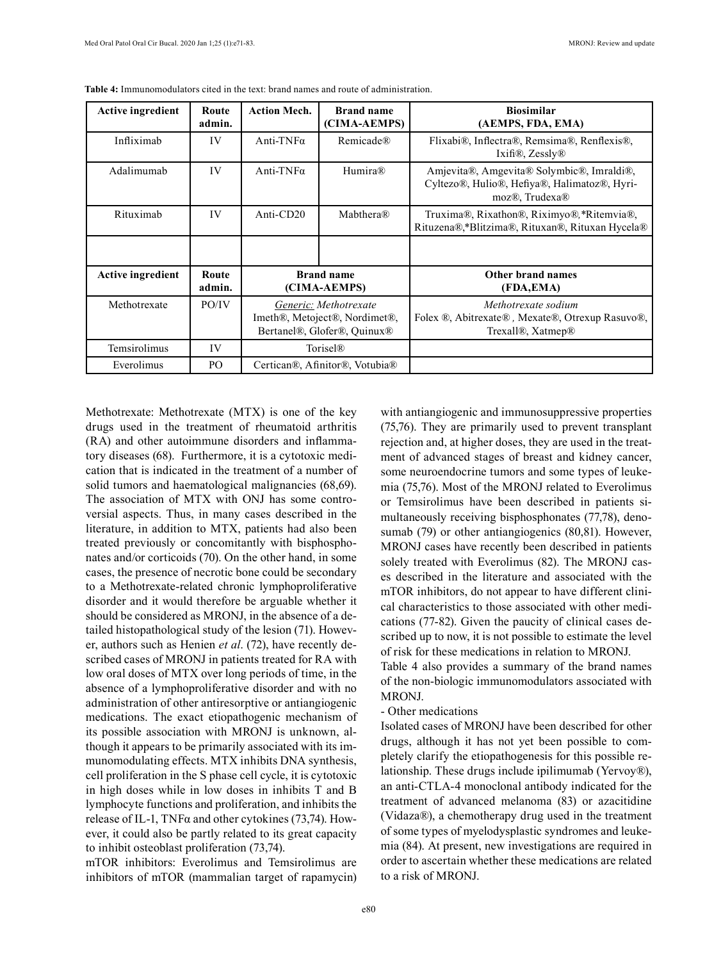| <b>Active ingredient</b> | Route<br>admin. | <b>Action Mech.</b>                                                                   | <b>Brand name</b><br>(CIMA-AEMPS) | <b>Biosimilar</b><br>(AEMPS, FDA, EMA)                                                                      |
|--------------------------|-----------------|---------------------------------------------------------------------------------------|-----------------------------------|-------------------------------------------------------------------------------------------------------------|
| Infliximab               | IV              | Anti-TNF $\alpha$                                                                     | Remicade®                         | Flixabi®, Inflectra®, Remsima®, Renflexis®,<br>Ixifi®, $Z$ essly®                                           |
| Adalimumab               | IV              | Anti-TNF $\alpha$                                                                     | Humira®                           | Amjevita®, Amgevita® Solymbic®, Imraldi®,<br>Cyltezo®, Hulio®, Hefiya®, Halimatoz®, Hyri-<br>moz®, Trudexa® |
| Rituximab                | IV              | Anti- $CD20$                                                                          | Mabthera®                         | Truxima®, Rixathon®, Riximyo®, *Ritemvia®,<br>Rituzena®,*Blitzima®, Rituxan®, Rituxan Hycela®               |
|                          |                 |                                                                                       |                                   |                                                                                                             |
| <b>Active ingredient</b> | Route<br>admin. | <b>Brand name</b><br>(CIMA-AEMPS)                                                     |                                   | Other brand names<br>(FDA,EMA)                                                                              |
| Methotrexate             | PO/IV           | Generic: Methotrexate<br>Imeth®, Metoject®, Nordimet®,<br>Bertanel®, Glofer®, Ouinux® |                                   | Methotrexate sodium<br>Folex ®, Abitrexate®, Mexate®, Otrexup Rasuvo®,<br>Trexall®, Xatmep®                 |
| Temsirolimus             | IV              | Torisel <sup>®</sup>                                                                  |                                   |                                                                                                             |
| Everolimus               | PO              | Certican®, Afinitor®, Votubia®                                                        |                                   |                                                                                                             |

**Table 4:** Immunomodulators cited in the text: brand names and route of administration.

Methotrexate: Methotrexate (MTX) is one of the key drugs used in the treatment of rheumatoid arthritis (RA) and other autoimmune disorders and inflammatory diseases (68). Furthermore, it is a cytotoxic medication that is indicated in the treatment of a number of solid tumors and haematological malignancies (68,69). The association of MTX with ONJ has some controversial aspects. Thus, in many cases described in the literature, in addition to MTX, patients had also been treated previously or concomitantly with bisphosphonates and/or corticoids (70). On the other hand, in some cases, the presence of necrotic bone could be secondary to a Methotrexate-related chronic lymphoproliferative disorder and it would therefore be arguable whether it should be considered as MRONJ, in the absence of a detailed histopathological study of the lesion (71). However, authors such as Henien *et al*. (72), have recently described cases of MRONJ in patients treated for RA with low oral doses of MTX over long periods of time, in the absence of a lymphoproliferative disorder and with no administration of other antiresorptive or antiangiogenic medications. The exact etiopathogenic mechanism of its possible association with MRONJ is unknown, although it appears to be primarily associated with its immunomodulating effects. MTX inhibits DNA synthesis, cell proliferation in the S phase cell cycle, it is cytotoxic in high doses while in low doses in inhibits T and B lymphocyte functions and proliferation, and inhibits the release of IL-1,  $TNF\alpha$  and other cytokines (73,74). However, it could also be partly related to its great capacity to inhibit osteoblast proliferation (73,74).

mTOR inhibitors: Everolimus and Temsirolimus are inhibitors of mTOR (mammalian target of rapamycin) with antiangiogenic and immunosuppressive properties (75,76). They are primarily used to prevent transplant rejection and, at higher doses, they are used in the treatment of advanced stages of breast and kidney cancer, some neuroendocrine tumors and some types of leukemia (75,76). Most of the MRONJ related to Everolimus or Temsirolimus have been described in patients simultaneously receiving bisphosphonates (77,78), denosumab (79) or other antiangiogenics (80,81). However, MRONJ cases have recently been described in patients solely treated with Everolimus (82). The MRONJ cases described in the literature and associated with the mTOR inhibitors, do not appear to have different clinical characteristics to those associated with other medications (77-82). Given the paucity of clinical cases described up to now, it is not possible to estimate the level of risk for these medications in relation to MRONJ.

Table 4 also provides a summary of the brand names of the non-biologic immunomodulators associated with MRONJ.

### - Other medications

Isolated cases of MRONJ have been described for other drugs, although it has not yet been possible to completely clarify the etiopathogenesis for this possible relationship. These drugs include ipilimumab (Yervoy®), an anti-CTLA-4 monoclonal antibody indicated for the treatment of advanced melanoma (83) or azacitidine (Vidaza®), a chemotherapy drug used in the treatment of some types of myelodysplastic syndromes and leukemia (84). At present, new investigations are required in order to ascertain whether these medications are related to a risk of MRONJ.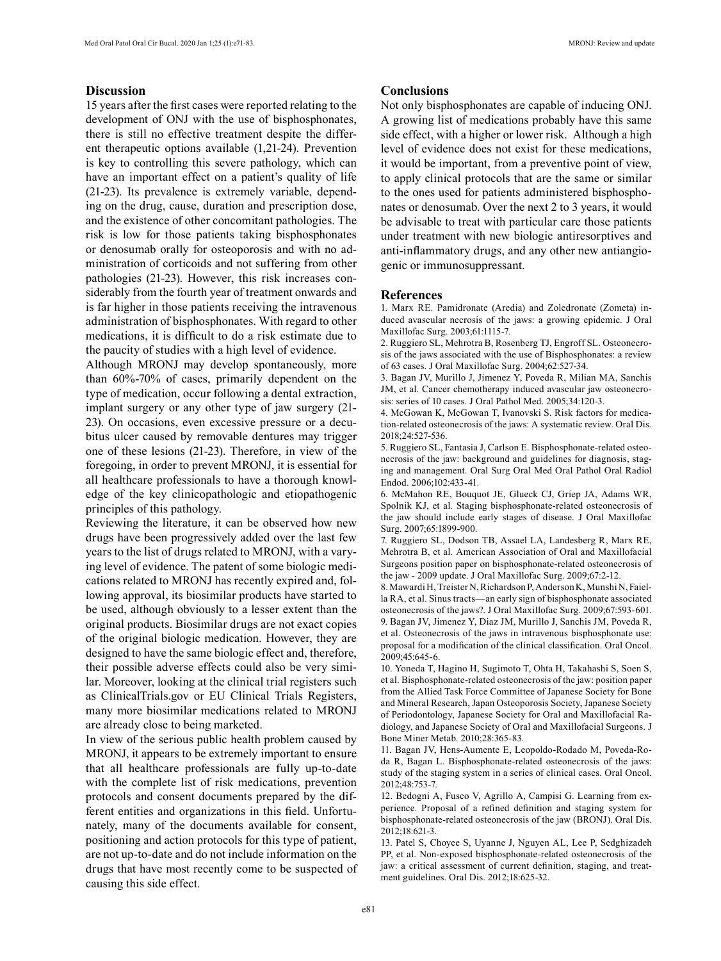# **Discussion**

15 years after the first cases were reported relating to the development of ONJ with the use of bisphosphonates, there is still no effective treatment despite the different therapeutic options available (1,21-24). Prevention is key to controlling this severe pathology, which can have an important effect on a patient's quality of life (21-23). Its prevalence is extremely variable, depending on the drug, cause, duration and prescription dose, and the existence of other concomitant pathologies. The risk is low for those patients taking bisphosphonates or denosumab orally for osteoporosis and with no administration of corticoids and not suffering from other pathologies (21-23). However, this risk increases considerably from the fourth year of treatment onwards and is far higher in those patients receiving the intravenous administration of bisphosphonates. With regard to other medications, it is difficult to do a risk estimate due to the paucity of studies with a high level of evidence.

Although MRONJ may develop spontaneously, more than 60%-70% of cases, primarily dependent on the type of medication, occur following a dental extraction, implant surgery or any other type of jaw surgery (21- 23). On occasions, even excessive pressure or a decubitus ulcer caused by removable dentures may trigger one of these lesions (21-23). Therefore, in view of the foregoing, in order to prevent MRONJ, it is essential for all healthcare professionals to have a thorough knowledge of the key clinicopathologic and etiopathogenic principles of this pathology.

Reviewing the literature, it can be observed how new drugs have been progressively added over the last few years to the list of drugs related to MRONJ, with a varying level of evidence. The patent of some biologic medications related to MRONJ has recently expired and, following approval, its biosimilar products have started to be used, although obviously to a lesser extent than the original products. Biosimilar drugs are not exact copies of the original biologic medication. However, they are designed to have the same biologic effect and, therefore, their possible adverse effects could also be very similar. Moreover, looking at the clinical trial registers such as ClinicalTrials.gov or EU Clinical Trials Registers, many more biosimilar medications related to MRONJ are already close to being marketed.

In view of the serious public health problem caused by MRONJ, it appears to be extremely important to ensure that all healthcare professionals are fully up-to-date with the complete list of risk medications, prevention protocols and consent documents prepared by the different entities and organizations in this field. Unfortunately, many of the documents available for consent, positioning and action protocols for this type of patient, are not up-to-date and do not include information on the drugs that have most recently come to be suspected of causing this side effect.

# **Conclusions**

Not only bisphosphonates are capable of inducing ONJ. A growing list of medications probably have this same side effect, with a higher or lower risk. Although a high level of evidence does not exist for these medications, it would be important, from a preventive point of view, to apply clinical protocols that are the same or similar to the ones used for patients administered bisphosphonates or denosumab. Over the next 2 to 3 years, it would be advisable to treat with particular care those patients under treatment with new biologic antiresorptives and anti-inflammatory drugs, and any other new antiangiogenic or immunosuppressant.

#### **References**

1. Marx RE. Pamidronate (Aredia) and Zoledronate (Zometa) induced avascular necrosis of the jaws: a growing epidemic. J Oral Maxillofac Surg. 2003;61:1115-7.

2. Ruggiero SL, Mehrotra B, Rosenberg TJ, Engroff SL. Osteonecrosis of the jaws associated with the use of Bisphosphonates: a review of 63 cases. J Oral Maxillofac Surg. 2004;62:527-34.

3. Bagan JV, Murillo J, Jimenez Y, Poveda R, Milian MA, Sanchis JM, et al. Cancer chemotherapy induced avascular jaw osteonecrosis: series of 10 cases. J Oral Pathol Med. 2005;34:120-3.

4. McGowan K, McGowan T, Ivanovski S. Risk factors for medication-related osteonecrosis of the jaws: A systematic review. Oral Dis. 2018;24:527-536.

5. Ruggiero SL, Fantasia J, Carlson E. Bisphosphonate-related osteonecrosis of the jaw: background and guidelines for diagnosis, staging and management. Oral Surg Oral Med Oral Pathol Oral Radiol Endod. 2006;102:433-41.

6. McMahon RE, Bouquot JE, Glueck CJ, Griep JA, Adams WR, Spolnik KJ, et al. Staging bisphosphonate-related osteonecrosis of the jaw should include early stages of disease. J Oral Maxillofac Surg. 2007;65:1899-900.

7. Ruggiero SL, Dodson TB, Assael LA, Landesberg R, Marx RE, Mehrotra B, et al. American Association of Oral and Maxillofacial Surgeons position paper on bisphosphonate-related osteonecrosis of the jaw - 2009 update. J Oral Maxillofac Surg. 2009;67:2-12.

8. Mawardi H, Treister N, Richardson P, Anderson K, Munshi N, Faiella RA, et al. Sinus tracts—an early sign of bisphosphonate associated osteonecrosis of the jaws?. J Oral Maxillofac Surg. 2009;67:593-601. 9. Bagan JV, Jimenez Y, Diaz JM, Murillo J, Sanchis JM, Poveda R, et al. Osteonecrosis of the jaws in intravenous bisphosphonate use: proposal for a modification of the clinical classification. Oral Oncol. 2009;45:645-6.

10. Yoneda T, Hagino H, Sugimoto T, Ohta H, Takahashi S, Soen S, et al. Bisphosphonate-related osteonecrosis of the jaw: position paper from the Allied Task Force Committee of Japanese Society for Bone and Mineral Research, Japan Osteoporosis Society, Japanese Society of Periodontology, Japanese Society for Oral and Maxillofacial Radiology, and Japanese Society of Oral and Maxillofacial Surgeons. J Bone Miner Metab. 2010;28:365-83.

11. Bagan JV, Hens-Aumente E, Leopoldo-Rodado M, Poveda-Roda R, Bagan L. Bisphosphonate-related osteonecrosis of the jaws: study of the staging system in a series of clinical cases. Oral Oncol. 2012;48:753-7.

12. Bedogni A, Fusco V, Agrillo A, Campisi G. Learning from experience. Proposal of a refined definition and staging system for bisphosphonate-related osteonecrosis of the jaw (BRONJ). Oral Dis. 2012;18:621-3.

13. Patel S, Choyee S, Uyanne J, Nguyen AL, Lee P, Sedghizadeh PP, et al. Non-exposed bisphosphonate-related osteonecrosis of the jaw: a critical assessment of current definition, staging, and treatment guidelines. Oral Dis. 2012;18:625-32.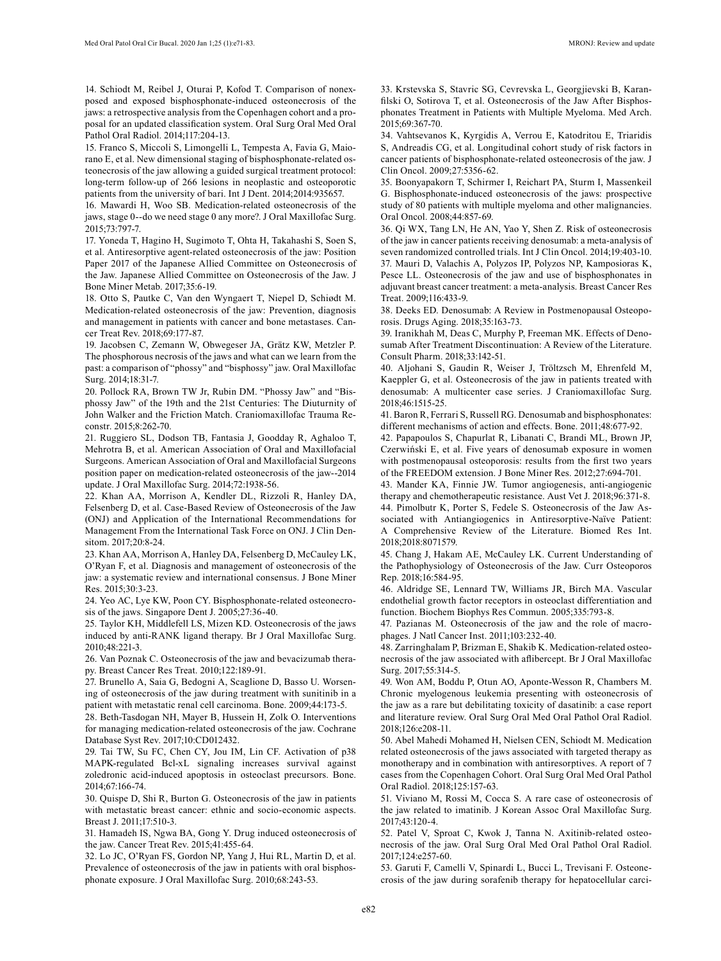14. Schiodt M, Reibel J, Oturai P, Kofod T. Comparison of nonexposed and exposed bisphosphonate-induced osteonecrosis of the jaws: a retrospective analysis from the Copenhagen cohort and a proposal for an updated classification system. Oral Surg Oral Med Oral Pathol Oral Radiol. 2014;117:204-13.

15. Franco S, Miccoli S, Limongelli L, Tempesta A, Favia G, Maiorano E, et al. New dimensional staging of bisphosphonate-related osteonecrosis of the jaw allowing a guided surgical treatment protocol: long-term follow-up of 266 lesions in neoplastic and osteoporotic patients from the university of bari. Int J Dent. 2014;2014:935657.

16. Mawardi H, Woo SB. Medication-related osteonecrosis of the jaws, stage 0--do we need stage 0 any more?. J Oral Maxillofac Surg. 2015;73:797-7.

17. Yoneda T, Hagino H, Sugimoto T, Ohta H, Takahashi S, Soen S, et al. Antiresorptive agent-related osteonecrosis of the jaw: Position Paper 2017 of the Japanese Allied Committee on Osteonecrosis of the Jaw. Japanese Allied Committee on Osteonecrosis of the Jaw. J Bone Miner Metab. 2017;35:6-19.

18. Otto S, Pautke C, Van den Wyngaert T, Niepel D, Schiødt M. Medication-related osteonecrosis of the jaw: Prevention, diagnosis and management in patients with cancer and bone metastases. Cancer Treat Rev. 2018;69:177-87.

19. Jacobsen C, Zemann W, Obwegeser JA, Grätz KW, Metzler P. The phosphorous necrosis of the jaws and what can we learn from the past: a comparison of "phossy" and "bisphossy" jaw. Oral Maxillofac Surg. 2014;18:31-7.

20. Pollock RA, Brown TW Jr, Rubin DM. "Phossy Jaw" and "Bisphossy Jaw" of the 19th and the 21st Centuries: The Diuturnity of John Walker and the Friction Match. Craniomaxillofac Trauma Reconstr. 2015;8:262-70.

21. Ruggiero SL, Dodson TB, Fantasia J, Goodday R, Aghaloo T, Mehrotra B, et al. American Association of Oral and Maxillofacial Surgeons. American Association of Oral and Maxillofacial Surgeons position paper on medication-related osteonecrosis of the jaw--2014 update. J Oral Maxillofac Surg. 2014;72:1938-56.

22. Khan AA, Morrison A, Kendler DL, Rizzoli R, Hanley DA, Felsenberg D, et al. Case-Based Review of Osteonecrosis of the Jaw (ONJ) and Application of the International Recommendations for Management From the International Task Force on ONJ. J Clin Densitom. 2017;20:8-24.

23. Khan AA, Morrison A, Hanley DA, Felsenberg D, McCauley LK, O'Ryan F, et al. Diagnosis and management of osteonecrosis of the jaw: a systematic review and international consensus. J Bone Miner Res. 2015;30:3-23.

24. Yeo AC, Lye KW, Poon CY. Bisphosphonate-related osteonecrosis of the jaws. Singapore Dent J. 2005;27:36-40.

25. Taylor KH, Middlefell LS, Mizen KD. Osteonecrosis of the jaws induced by anti-RANK ligand therapy. Br J Oral Maxillofac Surg. 2010;48:221-3.

26. Van Poznak C. Osteonecrosis of the jaw and bevacizumab therapy. Breast Cancer Res Treat. 2010;122:189-91.

27. Brunello A, Saia G, Bedogni A, Scaglione D, Basso U. Worsening of osteonecrosis of the jaw during treatment with sunitinib in a patient with metastatic renal cell carcinoma. Bone. 2009;44:173-5.

28. Beth-Tasdogan NH, Mayer B, Hussein H, Zolk O. Interventions for managing medication-related osteonecrosis of the jaw. Cochrane Database Syst Rev. 2017;10:CD012432.

29. Tai TW, Su FC, Chen CY, Jou IM, Lin CF. Activation of p38 MAPK-regulated Bcl-xL signaling increases survival against zoledronic acid-induced apoptosis in osteoclast precursors. Bone. 2014;67:166-74.

30. Quispe D, Shi R, Burton G. Osteonecrosis of the jaw in patients with metastatic breast cancer: ethnic and socio-economic aspects. Breast J. 2011;17:510-3.

31. Hamadeh IS, Ngwa BA, Gong Y. Drug induced osteonecrosis of the jaw. Cancer Treat Rev. 2015;41:455-64.

32. Lo JC, O'Ryan FS, Gordon NP, Yang J, Hui RL, Martin D, et al. Prevalence of osteonecrosis of the jaw in patients with oral bisphosphonate exposure. J Oral Maxillofac Surg. 2010;68:243-53.

33. Krstevska S, Stavric SG, Cevrevska L, Georgjievski B, Karanfilski O, Sotirova T, et al. Osteonecrosis of the Jaw After Bisphosphonates Treatment in Patients with Multiple Myeloma. Med Arch. 2015;69:367-70.

34. Vahtsevanos K, Kyrgidis A, Verrou E, Katodritou E, Triaridis S, Andreadis CG, et al. Longitudinal cohort study of risk factors in cancer patients of bisphosphonate-related osteonecrosis of the jaw. J Clin Oncol. 2009;27:5356-62.

35. Boonyapakorn T, Schirmer I, Reichart PA, Sturm I, Massenkeil G. Bisphosphonate-induced osteonecrosis of the jaws: prospective study of 80 patients with multiple myeloma and other malignancies. Oral Oncol. 2008;44:857-69.

36. Qi WX, Tang LN, He AN, Yao Y, Shen Z. Risk of osteonecrosis of the jaw in cancer patients receiving denosumab: a meta-analysis of seven randomized controlled trials. Int J Clin Oncol. 2014;19:403-10. 37. Mauri D, Valachis A, Polyzos IP, Polyzos NP, Kamposioras K, Pesce LL. Osteonecrosis of the jaw and use of bisphosphonates in adjuvant breast cancer treatment: a meta-analysis. Breast Cancer Res Treat. 2009;116:433-9.

38. Deeks ED. Denosumab: A Review in Postmenopausal Osteoporosis. Drugs Aging. 2018;35:163-73.

39. Iranikhah M, Deas C, Murphy P, Freeman MK. Effects of Denosumab After Treatment Discontinuation: A Review of the Literature. Consult Pharm. 2018;33:142-51.

40. Aljohani S, Gaudin R, Weiser J, Tröltzsch M, Ehrenfeld M, Kaeppler G, et al. Osteonecrosis of the jaw in patients treated with denosumab: A multicenter case series. J Craniomaxillofac Surg. 2018;46:1515-25.

41. Baron R, Ferrari S, Russell RG. Denosumab and bisphosphonates: different mechanisms of action and effects. Bone. 2011;48:677-92.

42. Papapoulos S, Chapurlat R, Libanati C, Brandi ML, Brown JP, Czerwiński E, et al. Five years of denosumab exposure in women with postmenopausal osteoporosis: results from the first two years of the FREEDOM extension. J Bone Miner Res. 2012;27:694-701.

43. Mander KA, Finnie JW. Tumor angiogenesis, anti-angiogenic therapy and chemotherapeutic resistance. Aust Vet J. 2018;96:371-8. 44. Pimolbutr K, Porter S, Fedele S. Osteonecrosis of the Jaw Associated with Antiangiogenics in Antiresorptive-Naïve Patient: A Comprehensive Review of the Literature. Biomed Res Int. 2018;2018:8071579.

45. Chang J, Hakam AE, McCauley LK. Current Understanding of the Pathophysiology of Osteonecrosis of the Jaw. Curr Osteoporos Rep. 2018;16:584-95.

46. Aldridge SE, Lennard TW, Williams JR, Birch MA. Vascular endothelial growth factor receptors in osteoclast differentiation and function. Biochem Biophys Res Commun. 2005;335:793-8.

47. Pazianas M. Osteonecrosis of the jaw and the role of macrophages. J Natl Cancer Inst. 2011;103:232-40.

48. Zarringhalam P, Brizman E, Shakib K. Medication-related osteonecrosis of the jaw associated with aflibercept. Br J Oral Maxillofac Surg. 2017;55:314-5.

49. Won AM, Boddu P, Otun AO, Aponte-Wesson R, Chambers M. Chronic myelogenous leukemia presenting with osteonecrosis of the jaw as a rare but debilitating toxicity of dasatinib: a case report and literature review. Oral Surg Oral Med Oral Pathol Oral Radiol. 2018;126:e208-11.

50. Abel Mahedi Mohamed H, Nielsen CEN, Schiodt M. Medication related osteonecrosis of the jaws associated with targeted therapy as monotherapy and in combination with antiresorptives. A report of 7 cases from the Copenhagen Cohort. Oral Surg Oral Med Oral Pathol Oral Radiol. 2018;125:157-63.

51. Viviano M, Rossi M, Cocca S. A rare case of osteonecrosis of the jaw related to imatinib. J Korean Assoc Oral Maxillofac Surg. 2017;43:120-4.

52. Patel V, Sproat C, Kwok J, Tanna N. Axitinib-related osteonecrosis of the jaw. Oral Surg Oral Med Oral Pathol Oral Radiol. 2017;124:e257-60.

53. Garuti F, Camelli V, Spinardi L, Bucci L, Trevisani F. Osteonecrosis of the jaw during sorafenib therapy for hepatocellular carci